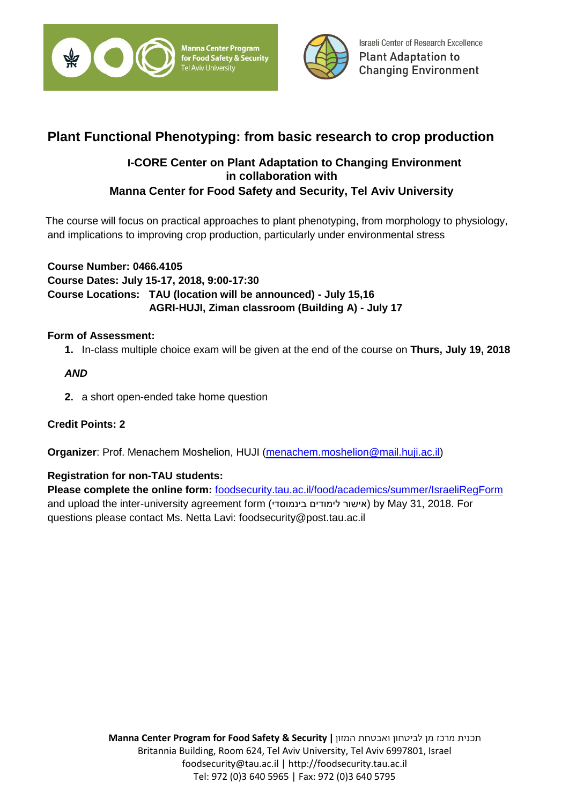



# **Plant Functional Phenotyping: from basic research to crop production**

# **I-CORE Center on Plant Adaptation to Changing Environment in collaboration with Manna Center for Food Safety and Security, Tel Aviv University**

 The course will focus on practical approaches to plant phenotyping, from morphology to physiology, and implications to improving crop production, particularly under environmental stress

**Course Number: 0466.4105 Course Dates: July 15-17, 2018, 9:00-17:30 Course Locations: TAU (location will be announced) - July 15,16 AGRI-HUJI, Ziman classroom (Building A) - July 17**

# **Form of Assessment:**

**1.** In-class multiple choice exam will be given at the end of the course on **Thurs, July 19, 2018** 

# *AND*

**2.** a short open-ended take home question

# **Credit Points: 2**

**Organizer**: Prof. Menachem Moshelion, HUJI [\(menachem.moshelion@mail.huji.ac.il\)](mailto:menachem.moshelion@mail.huji.ac.il)

## **Registration for non-TAU students:**

**Please complete the online form:** [foodsecurity.tau.ac.il/food/academics/summer/IsraeliRegForm](https://foodsecurity.tau.ac.il/food/academics/summer/IsraeliRegForm) and upload the inter-university agreement form (אישור לימודים בינמוסדי) by May 31, 2018. For questions please contact Ms. Netta Lavi: foodsecurity@post.tau.ac.il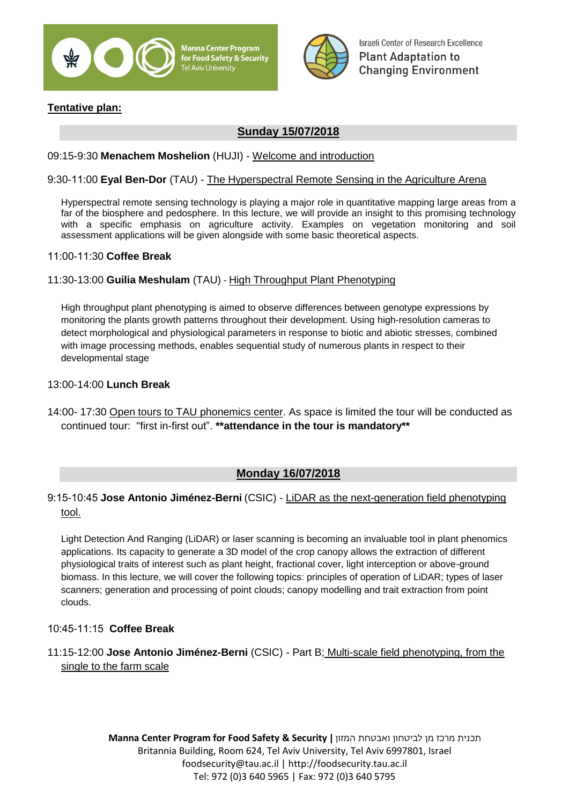

Manna Center Program or Food Safety & Security **Tel Aviv University** 



Israeli Center of Research Excellence **Plant Adaptation to Changing Environment** 

# **Tentative plan:**

# **Sunday 15/07/2018**

#### 09:15-9:30 **Menachem Moshelion** (HUJI) - Welcome and introduction

#### 9:30-11:00 **Eyal Ben-Dor** (TAU) - The Hyperspectral Remote Sensing in the Agriculture Arena

Hyperspectral remote sensing technology is playing a major role in quantitative mapping large areas from a far of the biosphere and pedosphere. In this lecture, we will provide an insight to this promising technology with a specific emphasis on agriculture activity. Examples on vegetation monitoring and soil assessment applications will be given alongside with some basic theoretical aspects.

#### 11:00-11:30 **Coffee Break**

#### 11:30-13:00 **Guilia Meshulam** (TAU) - High Throughput Plant Phenotyping

High throughput plant phenotyping is aimed to observe differences between genotype expressions by monitoring the plants growth patterns throughout their development. Using high-resolution cameras to detect morphological and physiological parameters in response to biotic and abiotic stresses, combined with image processing methods, enables sequential study of numerous plants in respect to their developmental stage

#### 13:00-14:00 **Lunch Break**

14:00- 17:30 Open tours to TAU phonemics center. As space is limited the tour will be conducted as continued tour: "first in-first out". **\*\*attendance in the tour is mandatory\*\***

## **Monday 16/07/2018**

## 9:15-10:45 **Jose Antonio Jiménez-Berni** (CSIC) - LiDAR as the next-generation field phenotyping tool.

Light Detection And Ranging (LiDAR) or laser scanning is becoming an invaluable tool in plant phenomics applications. Its capacity to generate a 3D model of the crop canopy allows the extraction of different physiological traits of interest such as plant height, fractional cover, light interception or above-ground biomass. In this lecture, we will cover the following topics: principles of operation of LiDAR; types of laser scanners; generation and processing of point clouds; canopy modelling and trait extraction from point clouds.

#### 10:45-11:15 **Coffee Break**

## 11:15-12:00 **Jose Antonio Jiménez-Berni** (CSIC) - Part B; Multi-scale field phenotyping, from the single to the farm scale

**Manna Center Program for Food Safety & Security |** המזון ואבטחת לביטחון מן מרכז תכנית Britannia Building, Room 624, Tel Aviv University, Tel Aviv 6997801, Israel foodsecurity@tau.ac.il | http://foodsecurity.tau.ac.il Tel: 972 (0)3 640 5965 | Fax: 972 (0)3 640 5795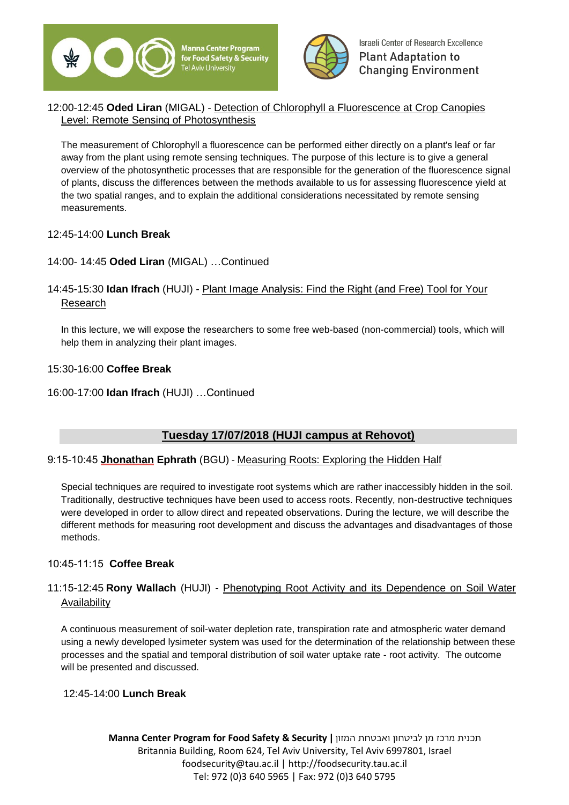



## 12:00-12:45 **Oded Liran** (MIGAL) - Detection of Chlorophyll a Fluorescence at Crop Canopies Level: Remote Sensing of Photosynthesis

The measurement of Chlorophyll a fluorescence can be performed either directly on a plant's leaf or far away from the plant using remote sensing techniques. The purpose of this lecture is to give a general overview of the photosynthetic processes that are responsible for the generation of the fluorescence signal of plants, discuss the differences between the methods available to us for assessing fluorescence yield at the two spatial ranges, and to explain the additional considerations necessitated by remote sensing measurements.

#### 12:45-14:00 **Lunch Break**

## 14:00- 14:45 **Oded Liran** (MIGAL) …Continued

# 14:45-15:30 **Idan Ifrach** (HUJI) - Plant Image Analysis: Find the Right (and Free) Tool for Your Research

In this lecture, we will expose the researchers to some free web-based (non-commercial) tools, which will help them in analyzing their plant images.

#### 15:30-16:00 **Coffee Break**

#### 16:00-17:00 **Idan Ifrach** (HUJI) …Continued

# **Tuesday 17/07/2018 (HUJI campus at Rehovot)**

## 9:15-10:45 **Jhonathan Ephrath** (BGU) - Measuring Roots: Exploring the Hidden Half

Special techniques are required to investigate root systems which are rather inaccessibly hidden in the soil. Traditionally, destructive techniques have been used to access roots. Recently, non-destructive techniques were developed in order to allow direct and repeated observations. During the lecture, we will describe the different methods for measuring root development and discuss the advantages and disadvantages of those methods.

## 10:45-11:15 **Coffee Break**

# 11:15-12:45 **Rony Wallach** (HUJI) - Phenotyping Root Activity and its Dependence on Soil Water Availability

A continuous measurement of soil-water depletion rate, transpiration rate and atmospheric water demand using a newly developed lysimeter system was used for the determination of the relationship between these processes and the spatial and temporal distribution of soil water uptake rate - root activity. The outcome will be presented and discussed.

#### 12:45-14:00 **Lunch Break**

**Manna Center Program for Food Safety & Security |** המזון ואבטחת לביטחון מן מרכז תכנית Britannia Building, Room 624, Tel Aviv University, Tel Aviv 6997801, Israel foodsecurity@tau.ac.il | http://foodsecurity.tau.ac.il Tel: 972 (0)3 640 5965 | Fax: 972 (0)3 640 5795